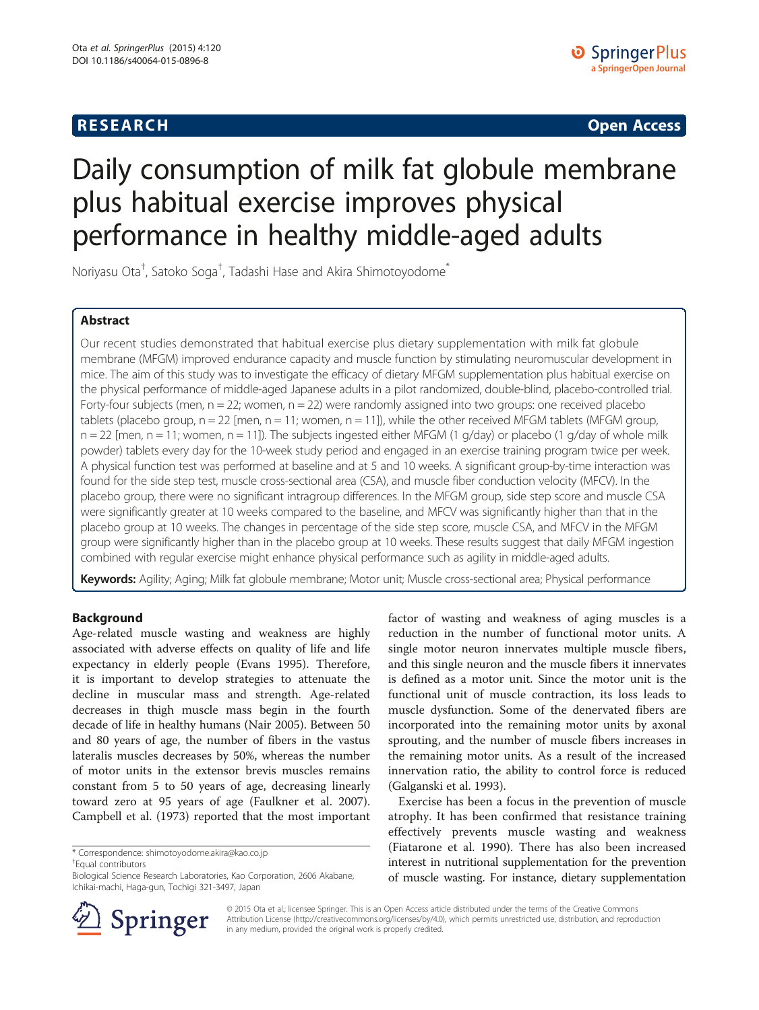## **RESEARCH CHINESE ARCH CHINESE ARCH CHINESE ARCH <b>CHINESE ARCH**

# Daily consumption of milk fat globule membrane plus habitual exercise improves physical performance in healthy middle-aged adults

Noriyasu Ota<sup>†</sup>, Satoko Soga<sup>†</sup>, Tadashi Hase and Akira Shimotoyodome<sup>\*</sup>

## Abstract

Our recent studies demonstrated that habitual exercise plus dietary supplementation with milk fat globule membrane (MFGM) improved endurance capacity and muscle function by stimulating neuromuscular development in mice. The aim of this study was to investigate the efficacy of dietary MFGM supplementation plus habitual exercise on the physical performance of middle-aged Japanese adults in a pilot randomized, double-blind, placebo-controlled trial. Forty-four subjects (men,  $n = 22$ ; women,  $n = 22$ ) were randomly assigned into two groups: one received placebo tablets (placebo group,  $n = 22$  [men,  $n = 11$ ; women,  $n = 11$ ]), while the other received MFGM tablets (MFGM group,  $n = 22$  [men,  $n = 11$ ; women,  $n = 11$ ]). The subjects ingested either MFGM (1 g/day) or placebo (1 g/day of whole milk powder) tablets every day for the 10-week study period and engaged in an exercise training program twice per week. A physical function test was performed at baseline and at 5 and 10 weeks. A significant group-by-time interaction was found for the side step test, muscle cross-sectional area (CSA), and muscle fiber conduction velocity (MFCV). In the placebo group, there were no significant intragroup differences. In the MFGM group, side step score and muscle CSA were significantly greater at 10 weeks compared to the baseline, and MFCV was significantly higher than that in the placebo group at 10 weeks. The changes in percentage of the side step score, muscle CSA, and MFCV in the MFGM group were significantly higher than in the placebo group at 10 weeks. These results suggest that daily MFGM ingestion combined with regular exercise might enhance physical performance such as agility in middle-aged adults.

Keywords: Agility; Aging; Milk fat globule membrane; Motor unit; Muscle cross-sectional area; Physical performance

## Background

Age-related muscle wasting and weakness are highly associated with adverse effects on quality of life and life expectancy in elderly people (Evans [1995](#page-6-0)). Therefore, it is important to develop strategies to attenuate the decline in muscular mass and strength. Age-related decreases in thigh muscle mass begin in the fourth decade of life in healthy humans (Nair [2005](#page-7-0)). Between 50 and 80 years of age, the number of fibers in the vastus lateralis muscles decreases by 50%, whereas the number of motor units in the extensor brevis muscles remains constant from 5 to 50 years of age, decreasing linearly toward zero at 95 years of age (Faulkner et al. [2007](#page-7-0)). Campbell et al. ([1973](#page-6-0)) reported that the most important

Equal contributors



Exercise has been a focus in the prevention of muscle atrophy. It has been confirmed that resistance training effectively prevents muscle wasting and weakness (Fiatarone et al. [1990](#page-7-0)). There has also been increased interest in nutritional supplementation for the prevention of muscle wasting. For instance, dietary supplementation



© 2015 Ota et al.; licensee Springer. This is an Open Access article distributed under the terms of the Creative Commons Attribution License [\(http://creativecommons.org/licenses/by/4.0\)](http://creativecommons.org/licenses/by/4.0), which permits unrestricted use, distribution, and reproduction in any medium, provided the original work is properly credited.

<sup>\*</sup> Correspondence: [shimotoyodome.akira@kao.co.jp](mailto:shimotoyodome.akira@kao.co.jp) †

Biological Science Research Laboratories, Kao Corporation, 2606 Akabane, Ichikai-machi, Haga-gun, Tochigi 321-3497, Japan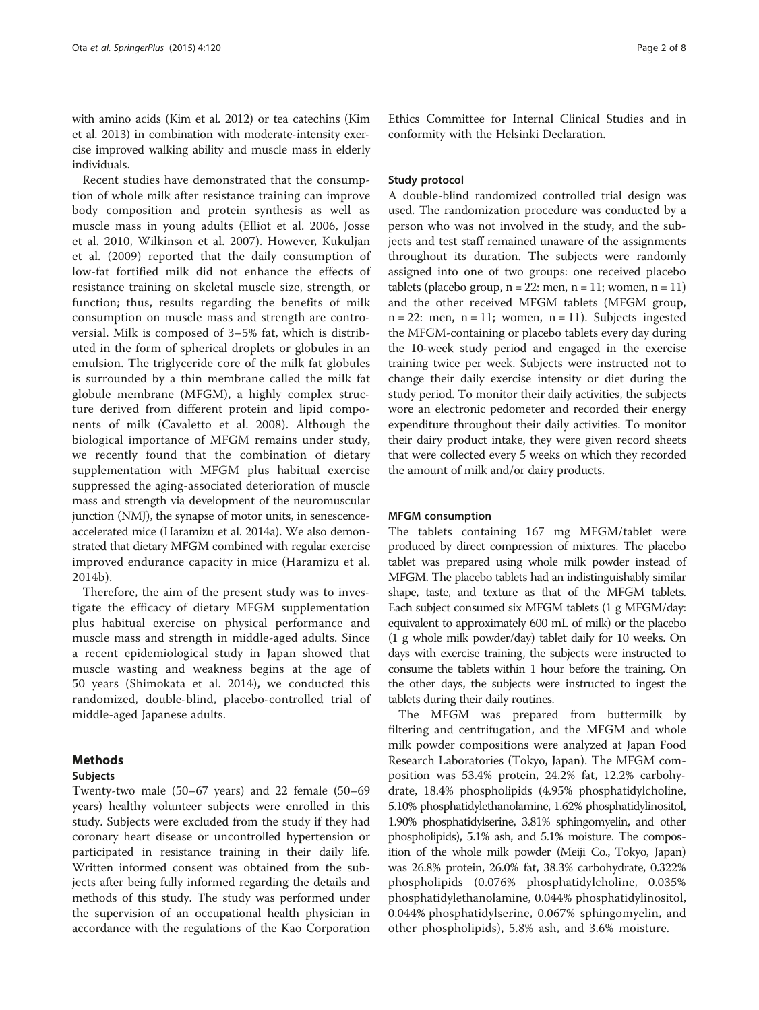with amino acids (Kim et al. [2012\)](#page-7-0) or tea catechins (Kim et al. [2013](#page-7-0)) in combination with moderate-intensity exercise improved walking ability and muscle mass in elderly individuals.

Recent studies have demonstrated that the consumption of whole milk after resistance training can improve body composition and protein synthesis as well as muscle mass in young adults (Elliot et al. [2006](#page-6-0), Josse et al. [2010,](#page-7-0) Wilkinson et al. [2007\)](#page-7-0). However, Kukuljan et al. ([2009\)](#page-7-0) reported that the daily consumption of low-fat fortified milk did not enhance the effects of resistance training on skeletal muscle size, strength, or function; thus, results regarding the benefits of milk consumption on muscle mass and strength are controversial. Milk is composed of 3–5% fat, which is distributed in the form of spherical droplets or globules in an emulsion. The triglyceride core of the milk fat globules is surrounded by a thin membrane called the milk fat globule membrane (MFGM), a highly complex structure derived from different protein and lipid components of milk (Cavaletto et al. [2008\)](#page-6-0). Although the biological importance of MFGM remains under study, we recently found that the combination of dietary supplementation with MFGM plus habitual exercise suppressed the aging-associated deterioration of muscle mass and strength via development of the neuromuscular junction (NMJ), the synapse of motor units, in senescenceaccelerated mice (Haramizu et al. [2014a](#page-7-0)). We also demonstrated that dietary MFGM combined with regular exercise improved endurance capacity in mice (Haramizu et al. [2014b](#page-7-0)).

Therefore, the aim of the present study was to investigate the efficacy of dietary MFGM supplementation plus habitual exercise on physical performance and muscle mass and strength in middle-aged adults. Since a recent epidemiological study in Japan showed that muscle wasting and weakness begins at the age of 50 years (Shimokata et al. [2014\)](#page-7-0), we conducted this randomized, double-blind, placebo-controlled trial of middle-aged Japanese adults.

## Methods

## Subjects

Twenty-two male (50–67 years) and 22 female (50–69 years) healthy volunteer subjects were enrolled in this study. Subjects were excluded from the study if they had coronary heart disease or uncontrolled hypertension or participated in resistance training in their daily life. Written informed consent was obtained from the subjects after being fully informed regarding the details and methods of this study. The study was performed under the supervision of an occupational health physician in accordance with the regulations of the Kao Corporation Ethics Committee for Internal Clinical Studies and in conformity with the Helsinki Declaration.

## Study protocol

A double-blind randomized controlled trial design was used. The randomization procedure was conducted by a person who was not involved in the study, and the subjects and test staff remained unaware of the assignments throughout its duration. The subjects were randomly assigned into one of two groups: one received placebo tablets (placebo group,  $n = 22$ : men,  $n = 11$ ; women,  $n = 11$ ) and the other received MFGM tablets (MFGM group,  $n = 22$ : men,  $n = 11$ ; women,  $n = 11$ ). Subjects ingested the MFGM-containing or placebo tablets every day during the 10-week study period and engaged in the exercise training twice per week. Subjects were instructed not to change their daily exercise intensity or diet during the study period. To monitor their daily activities, the subjects wore an electronic pedometer and recorded their energy expenditure throughout their daily activities. To monitor their dairy product intake, they were given record sheets that were collected every 5 weeks on which they recorded the amount of milk and/or dairy products.

## MFGM consumption

The tablets containing 167 mg MFGM/tablet were produced by direct compression of mixtures. The placebo tablet was prepared using whole milk powder instead of MFGM. The placebo tablets had an indistinguishably similar shape, taste, and texture as that of the MFGM tablets. Each subject consumed six MFGM tablets (1 g MFGM/day: equivalent to approximately 600 mL of milk) or the placebo (1 g whole milk powder/day) tablet daily for 10 weeks. On days with exercise training, the subjects were instructed to consume the tablets within 1 hour before the training. On the other days, the subjects were instructed to ingest the tablets during their daily routines.

The MFGM was prepared from buttermilk by filtering and centrifugation, and the MFGM and whole milk powder compositions were analyzed at Japan Food Research Laboratories (Tokyo, Japan). The MFGM composition was 53.4% protein, 24.2% fat, 12.2% carbohydrate, 18.4% phospholipids (4.95% phosphatidylcholine, 5.10% phosphatidylethanolamine, 1.62% phosphatidylinositol, 1.90% phosphatidylserine, 3.81% sphingomyelin, and other phospholipids), 5.1% ash, and 5.1% moisture. The composition of the whole milk powder (Meiji Co., Tokyo, Japan) was 26.8% protein, 26.0% fat, 38.3% carbohydrate, 0.322% phospholipids (0.076% phosphatidylcholine, 0.035% phosphatidylethanolamine, 0.044% phosphatidylinositol, 0.044% phosphatidylserine, 0.067% sphingomyelin, and other phospholipids), 5.8% ash, and 3.6% moisture.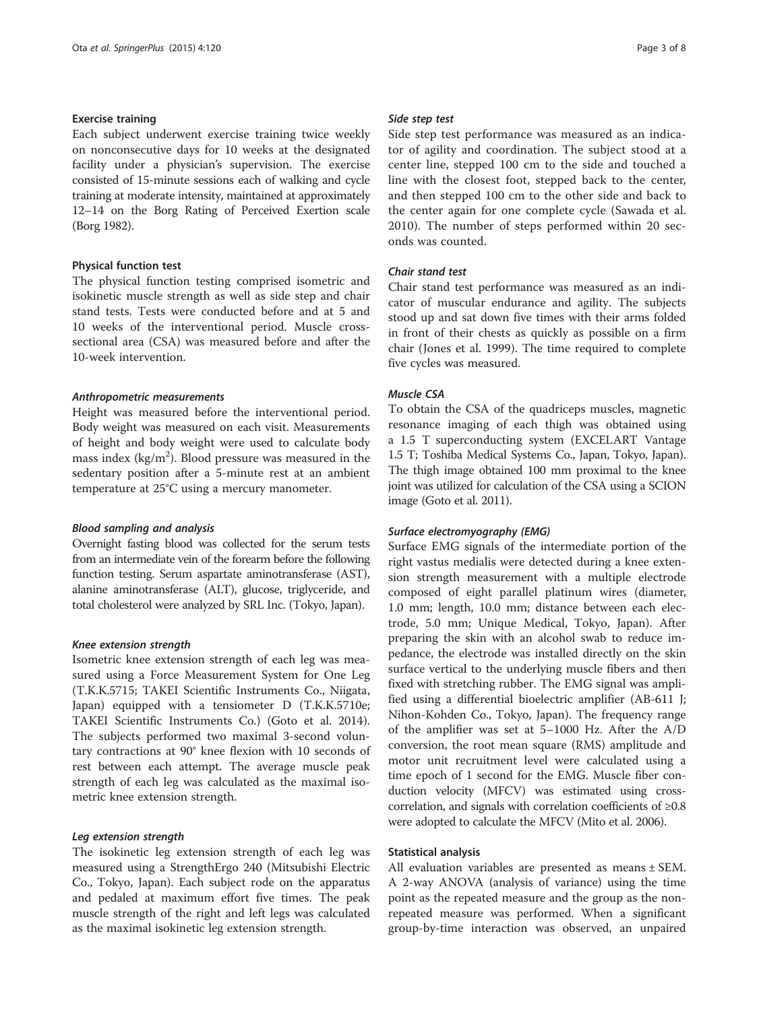## Exercise training

Each subject underwent exercise training twice weekly on nonconsecutive days for 10 weeks at the designated facility under a physician's supervision. The exercise consisted of 15-minute sessions each of walking and cycle training at moderate intensity, maintained at approximately 12–14 on the Borg Rating of Perceived Exertion scale (Borg [1982](#page-6-0)).

## Physical function test

The physical function testing comprised isometric and isokinetic muscle strength as well as side step and chair stand tests. Tests were conducted before and at 5 and 10 weeks of the interventional period. Muscle crosssectional area (CSA) was measured before and after the 10-week intervention.

## Anthropometric measurements

Height was measured before the interventional period. Body weight was measured on each visit. Measurements of height and body weight were used to calculate body mass index ( $\text{kg/m}^2$ ). Blood pressure was measured in the sedentary position after a 5-minute rest at an ambient temperature at 25°C using a mercury manometer.

## Blood sampling and analysis

Overnight fasting blood was collected for the serum tests from an intermediate vein of the forearm before the following function testing. Serum aspartate aminotransferase (AST), alanine aminotransferase (ALT), glucose, triglyceride, and total cholesterol were analyzed by SRL Inc. (Tokyo, Japan).

## Knee extension strength

Isometric knee extension strength of each leg was measured using a Force Measurement System for One Leg (T.K.K.5715; TAKEI Scientific Instruments Co., Niigata, Japan) equipped with a tensiometer D (T.K.K.5710e; TAKEI Scientific Instruments Co.) (Goto et al. [2014](#page-7-0)). The subjects performed two maximal 3-second voluntary contractions at 90° knee flexion with 10 seconds of rest between each attempt. The average muscle peak strength of each leg was calculated as the maximal isometric knee extension strength.

## Leg extension strength

The isokinetic leg extension strength of each leg was measured using a StrengthErgo 240 (Mitsubishi Electric Co., Tokyo, Japan). Each subject rode on the apparatus and pedaled at maximum effort five times. The peak muscle strength of the right and left legs was calculated as the maximal isokinetic leg extension strength.

#### Side step test

Side step test performance was measured as an indicator of agility and coordination. The subject stood at a center line, stepped 100 cm to the side and touched a line with the closest foot, stepped back to the center, and then stepped 100 cm to the other side and back to the center again for one complete cycle (Sawada et al. [2010\)](#page-7-0). The number of steps performed within 20 seconds was counted.

## Chair stand test

Chair stand test performance was measured as an indicator of muscular endurance and agility. The subjects stood up and sat down five times with their arms folded in front of their chests as quickly as possible on a firm chair (Jones et al. [1999\)](#page-7-0). The time required to complete five cycles was measured.

## Muscle CSA

To obtain the CSA of the quadriceps muscles, magnetic resonance imaging of each thigh was obtained using a 1.5 T superconducting system (EXCELART Vantage 1.5 T; Toshiba Medical Systems Co., Japan, Tokyo, Japan). The thigh image obtained 100 mm proximal to the knee joint was utilized for calculation of the CSA using a SCION image (Goto et al. [2011\)](#page-7-0).

## Surface electromyography (EMG)

Surface EMG signals of the intermediate portion of the right vastus medialis were detected during a knee extension strength measurement with a multiple electrode composed of eight parallel platinum wires (diameter, 1.0 mm; length, 10.0 mm; distance between each electrode, 5.0 mm; Unique Medical, Tokyo, Japan). After preparing the skin with an alcohol swab to reduce impedance, the electrode was installed directly on the skin surface vertical to the underlying muscle fibers and then fixed with stretching rubber. The EMG signal was amplified using a differential bioelectric amplifier (AB-611 J; Nihon-Kohden Co., Tokyo, Japan). The frequency range of the amplifier was set at 5–1000 Hz. After the A/D conversion, the root mean square (RMS) amplitude and motor unit recruitment level were calculated using a time epoch of 1 second for the EMG. Muscle fiber conduction velocity (MFCV) was estimated using crosscorrelation, and signals with correlation coefficients of ≥0.8 were adopted to calculate the MFCV (Mito et al. [2006](#page-7-0)).

## Statistical analysis

All evaluation variables are presented as means ± SEM. A 2-way ANOVA (analysis of variance) using the time point as the repeated measure and the group as the nonrepeated measure was performed. When a significant group-by-time interaction was observed, an unpaired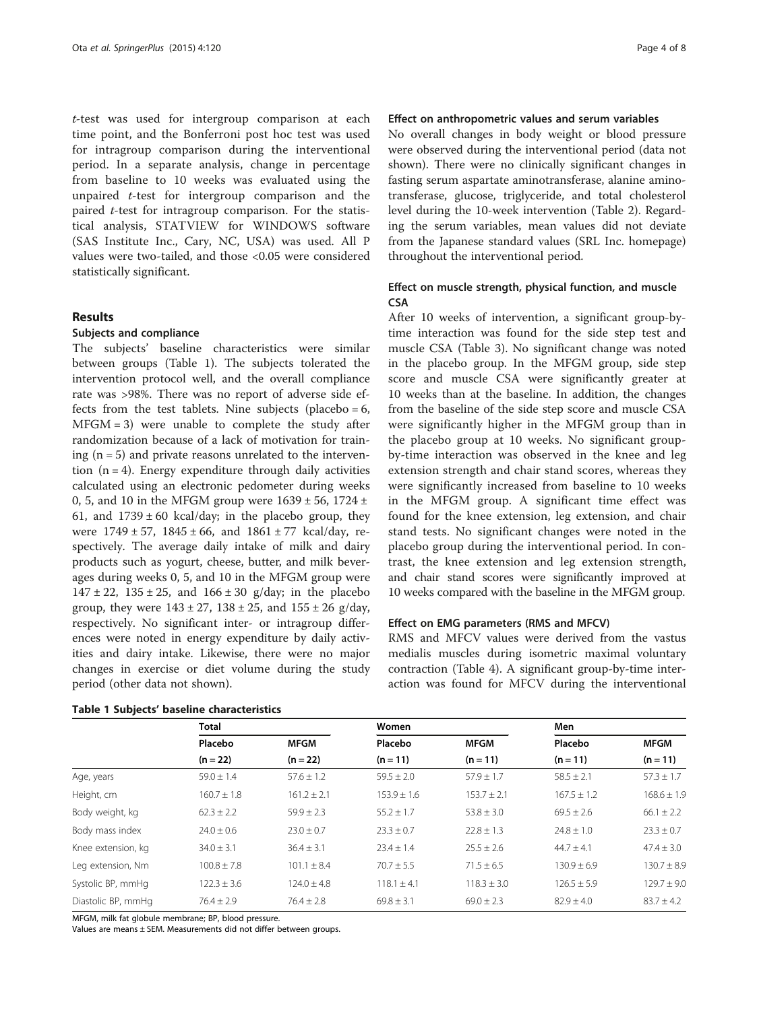t-test was used for intergroup comparison at each time point, and the Bonferroni post hoc test was used for intragroup comparison during the interventional period. In a separate analysis, change in percentage from baseline to 10 weeks was evaluated using the unpaired t-test for intergroup comparison and the paired t-test for intragroup comparison. For the statistical analysis, STATVIEW for WINDOWS software (SAS Institute Inc., Cary, NC, USA) was used. All P values were two-tailed, and those <0.05 were considered statistically significant.

## Results

#### Subjects and compliance

The subjects' baseline characteristics were similar between groups (Table 1). The subjects tolerated the intervention protocol well, and the overall compliance rate was >98%. There was no report of adverse side effects from the test tablets. Nine subjects (placebo =  $6$ ,  $MFGM = 3$ ) were unable to complete the study after randomization because of a lack of motivation for training  $(n = 5)$  and private reasons unrelated to the intervention  $(n = 4)$ . Energy expenditure through daily activities calculated using an electronic pedometer during weeks 0, 5, and 10 in the MFGM group were  $1639 \pm 56$ , 1724  $\pm$ 61, and  $1739 \pm 60$  kcal/day; in the placebo group, they were  $1749 \pm 57$ ,  $1845 \pm 66$ , and  $1861 \pm 77$  kcal/day, respectively. The average daily intake of milk and dairy products such as yogurt, cheese, butter, and milk beverages during weeks 0, 5, and 10 in the MFGM group were  $147 \pm 22$ ,  $135 \pm 25$ , and  $166 \pm 30$  g/day; in the placebo group, they were  $143 \pm 27$ ,  $138 \pm 25$ , and  $155 \pm 26$  g/day, respectively. No significant inter- or intragroup differences were noted in energy expenditure by daily activities and dairy intake. Likewise, there were no major changes in exercise or diet volume during the study period (other data not shown).

## Effect on anthropometric values and serum variables

No overall changes in body weight or blood pressure were observed during the interventional period (data not shown). There were no clinically significant changes in fasting serum aspartate aminotransferase, alanine aminotransferase, glucose, triglyceride, and total cholesterol level during the 10-week intervention (Table [2\)](#page-4-0). Regarding the serum variables, mean values did not deviate from the Japanese standard values [\(SRL Inc. homepage](#page-7-0)) throughout the interventional period.

## Effect on muscle strength, physical function, and muscle **CSA**

After 10 weeks of intervention, a significant group-bytime interaction was found for the side step test and muscle CSA (Table [3](#page-5-0)). No significant change was noted in the placebo group. In the MFGM group, side step score and muscle CSA were significantly greater at 10 weeks than at the baseline. In addition, the changes from the baseline of the side step score and muscle CSA were significantly higher in the MFGM group than in the placebo group at 10 weeks. No significant groupby-time interaction was observed in the knee and leg extension strength and chair stand scores, whereas they were significantly increased from baseline to 10 weeks in the MFGM group. A significant time effect was found for the knee extension, leg extension, and chair stand tests. No significant changes were noted in the placebo group during the interventional period. In contrast, the knee extension and leg extension strength, and chair stand scores were significantly improved at 10 weeks compared with the baseline in the MFGM group.

## Effect on EMG parameters (RMS and MFCV)

RMS and MFCV values were derived from the vastus medialis muscles during isometric maximal voluntary contraction (Table [4\)](#page-5-0). A significant group-by-time interaction was found for MFCV during the interventional

|                    | <b>Total</b>    |                 | Women           |                 | Men             |                 |
|--------------------|-----------------|-----------------|-----------------|-----------------|-----------------|-----------------|
|                    | Placebo         | <b>MFGM</b>     | Placebo         | <b>MFGM</b>     | Placebo         | <b>MFGM</b>     |
|                    | $(n = 22)$      | $(n = 22)$      | $(n = 11)$      | $(n = 11)$      | $(n = 11)$      | $(n = 11)$      |
| Age, years         | $59.0 \pm 1.4$  | $57.6 \pm 1.2$  | $59.5 \pm 2.0$  | $57.9 \pm 1.7$  | $58.5 \pm 2.1$  | $57.3 \pm 1.7$  |
| Height, cm         | $160.7 \pm 1.8$ | $161.2 \pm 2.1$ | $153.9 \pm 1.6$ | $153.7 \pm 2.1$ | $167.5 + 1.2$   | $168.6 \pm 1.9$ |
| Body weight, kg    | $62.3 \pm 2.2$  | $59.9 \pm 2.3$  | $55.2 \pm 1.7$  | $53.8 \pm 3.0$  | $69.5 \pm 2.6$  | $66.1 \pm 2.2$  |
| Body mass index    | $74.0 + 0.6$    | $23.0 \pm 0.7$  | $23.3 \pm 0.7$  | $22.8 \pm 1.3$  | $24.8 \pm 1.0$  | $23.3 \pm 0.7$  |
| Knee extension, kg | $34.0 \pm 3.1$  | $36.4 \pm 3.1$  | $23.4 + 1.4$    | $25.5 \pm 2.6$  | $44.7 + 4.1$    | $47.4 \pm 3.0$  |
| Leg extension, Nm  | $100.8 \pm 7.8$ | $101.1 \pm 8.4$ | $70.7 \pm 5.5$  | $71.5 \pm 6.5$  | $130.9 \pm 6.9$ | $130.7 \pm 8.9$ |
| Systolic BP, mmHg  | $122.3 \pm 3.6$ | $124.0 + 4.8$   | $118.1 + 4.1$   | $118.3 + 3.0$   | $126.5 + 5.9$   | $129.7 + 9.0$   |
| Diastolic BP, mmHq | $76.4 \pm 2.9$  | $76.4 \pm 2.8$  | $69.8 \pm 3.1$  | $69.0 \pm 2.3$  | $82.9 \pm 4.0$  | $83.7 \pm 4.2$  |

MFGM, milk fat globule membrane; BP, blood pressure.

Values are means ± SEM. Measurements did not differ between groups.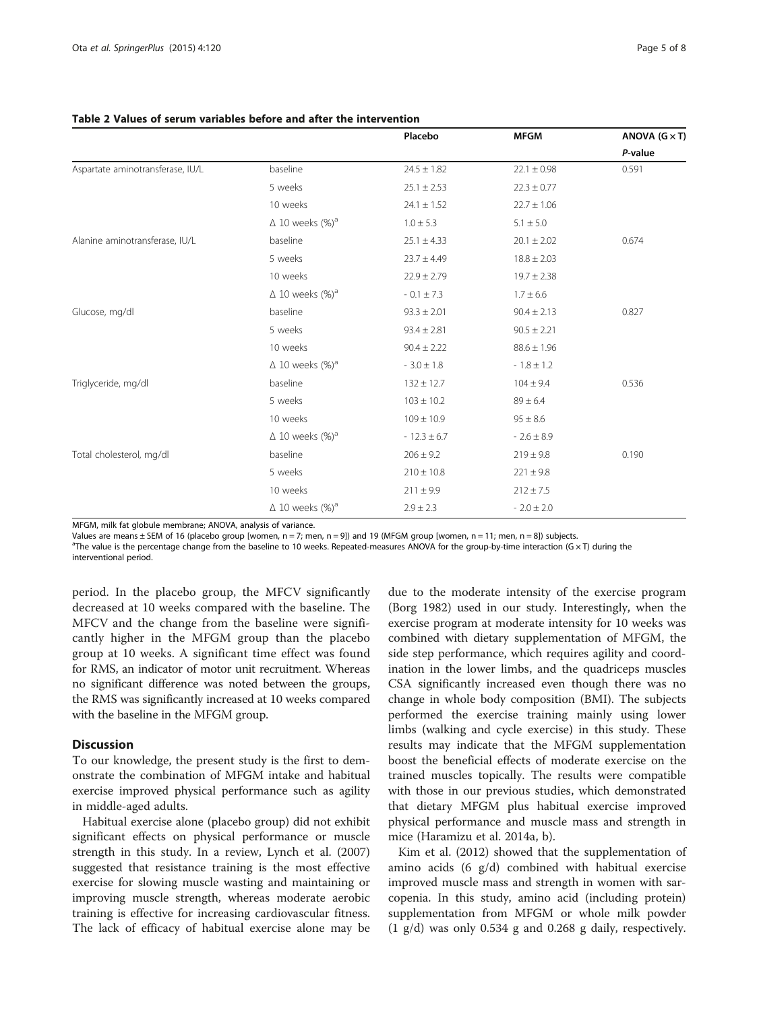|                                  |                                    | Placebo         | <b>MFGM</b>     | ANOVA $(G \times T)$ |
|----------------------------------|------------------------------------|-----------------|-----------------|----------------------|
|                                  |                                    |                 |                 | P-value              |
| Aspartate aminotransferase, IU/L | baseline                           | $24.5 \pm 1.82$ | $22.1 \pm 0.98$ | 0.591                |
|                                  | 5 weeks                            | $25.1 \pm 2.53$ | $22.3 \pm 0.77$ |                      |
|                                  | 10 weeks                           | $24.1 \pm 1.52$ | $22.7 \pm 1.06$ |                      |
|                                  | $\Delta$ 10 weeks (%) <sup>a</sup> | $1.0 \pm 5.3$   | $5.1 \pm 5.0$   |                      |
| Alanine aminotransferase, IU/L   | baseline                           | $25.1 \pm 4.33$ | $20.1 \pm 2.02$ | 0.674                |
|                                  | 5 weeks                            | $23.7 \pm 4.49$ | $18.8 \pm 2.03$ |                      |
|                                  | 10 weeks                           | $22.9 \pm 2.79$ | $19.7 \pm 2.38$ |                      |
|                                  | $\Delta$ 10 weeks (%) <sup>a</sup> | - 0.1 $\pm$ 7.3 | $1.7 \pm 6.6$   |                      |
| Glucose, mg/dl                   | baseline                           | $93.3 \pm 2.01$ | $90.4 \pm 2.13$ | 0.827                |
|                                  | 5 weeks                            | $93.4 \pm 2.81$ | $90.5 \pm 2.21$ |                      |
|                                  | 10 weeks                           | $90.4 \pm 2.22$ | $88.6 \pm 1.96$ |                      |
|                                  | $\Delta$ 10 weeks (%) <sup>a</sup> | $-3.0 \pm 1.8$  | $-1.8 \pm 1.2$  |                      |
| Triglyceride, mg/dl              | baseline                           | $132 \pm 12.7$  | $104 \pm 9.4$   | 0.536                |
|                                  | 5 weeks                            | $103 \pm 10.2$  | $89 \pm 6.4$    |                      |
|                                  | 10 weeks                           | $109 \pm 10.9$  | $95 \pm 8.6$    |                      |
|                                  | $\Delta$ 10 weeks (%) <sup>a</sup> | $-12.3 \pm 6.7$ | $-2.6 \pm 8.9$  |                      |
| Total cholesterol, mg/dl         | baseline                           | $206 \pm 9.2$   | $219 \pm 9.8$   | 0.190                |
|                                  | 5 weeks                            | $210 \pm 10.8$  | $221 \pm 9.8$   |                      |
|                                  | 10 weeks                           | $211 \pm 9.9$   | $212 \pm 7.5$   |                      |
|                                  | $\Delta$ 10 weeks (%) <sup>a</sup> | $2.9 \pm 2.3$   | $-2.0 \pm 2.0$  |                      |

## <span id="page-4-0"></span>Table 2 Values of serum variables before and after the intervention

MFGM, milk fat globule membrane; ANOVA, analysis of variance.

Values are means ± SEM of 16 (placebo group [women, n = 7; men, n = 9]) and 19 (MFGM group [women, n = 11; men, n = 8]) subjects.

a The value is the percentage change from the baseline to 10 weeks. Repeated-measures ANOVA for the group-by-time interaction (G × T) during the interventional period.

period. In the placebo group, the MFCV significantly decreased at 10 weeks compared with the baseline. The MFCV and the change from the baseline were significantly higher in the MFGM group than the placebo group at 10 weeks. A significant time effect was found for RMS, an indicator of motor unit recruitment. Whereas no significant difference was noted between the groups, the RMS was significantly increased at 10 weeks compared with the baseline in the MFGM group.

## **Discussion**

To our knowledge, the present study is the first to demonstrate the combination of MFGM intake and habitual exercise improved physical performance such as agility in middle-aged adults.

Habitual exercise alone (placebo group) did not exhibit significant effects on physical performance or muscle strength in this study. In a review, Lynch et al. ([2007](#page-7-0)) suggested that resistance training is the most effective exercise for slowing muscle wasting and maintaining or improving muscle strength, whereas moderate aerobic training is effective for increasing cardiovascular fitness. The lack of efficacy of habitual exercise alone may be

due to the moderate intensity of the exercise program (Borg [1982](#page-6-0)) used in our study. Interestingly, when the exercise program at moderate intensity for 10 weeks was combined with dietary supplementation of MFGM, the side step performance, which requires agility and coordination in the lower limbs, and the quadriceps muscles CSA significantly increased even though there was no change in whole body composition (BMI). The subjects performed the exercise training mainly using lower limbs (walking and cycle exercise) in this study. These results may indicate that the MFGM supplementation boost the beneficial effects of moderate exercise on the trained muscles topically. The results were compatible with those in our previous studies, which demonstrated that dietary MFGM plus habitual exercise improved physical performance and muscle mass and strength in mice (Haramizu et al. [2014a](#page-7-0), [b\)](#page-7-0).

Kim et al. [\(2012\)](#page-7-0) showed that the supplementation of amino acids (6 g/d) combined with habitual exercise improved muscle mass and strength in women with sarcopenia. In this study, amino acid (including protein) supplementation from MFGM or whole milk powder (1 g/d) was only 0.534 g and 0.268 g daily, respectively.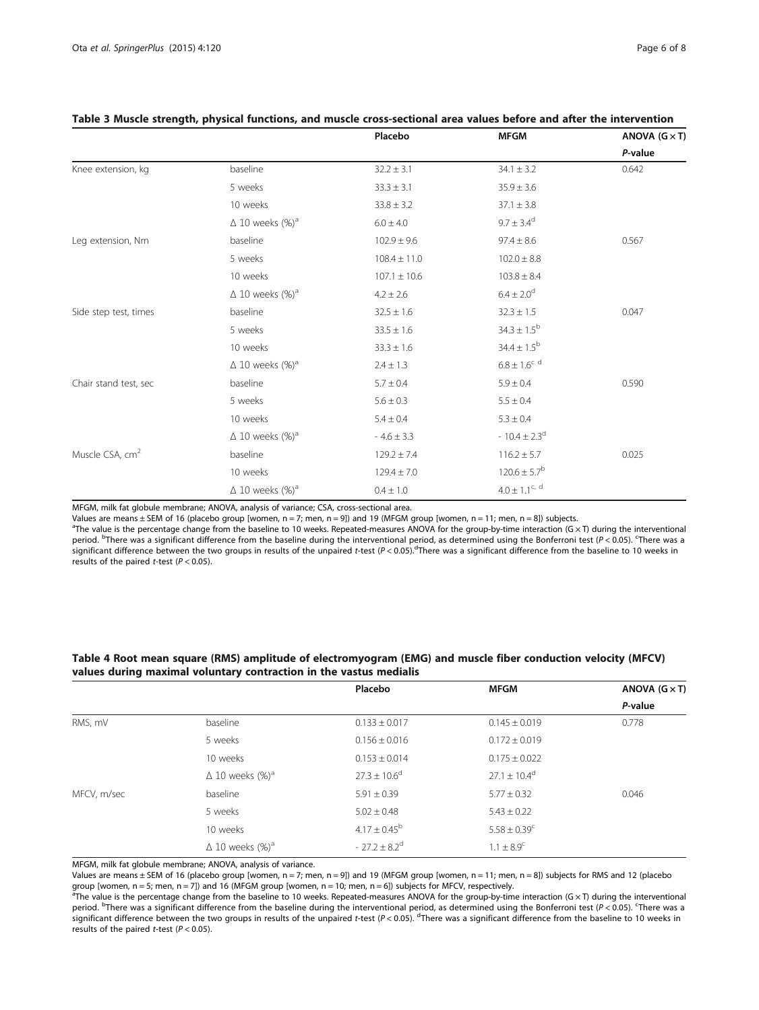|                             |                                    | Placebo          | <b>MFGM</b>                  | ANOVA $(G \times T)$ |
|-----------------------------|------------------------------------|------------------|------------------------------|----------------------|
|                             |                                    |                  |                              | P-value              |
| Knee extension, kg          | baseline                           | $32.2 \pm 3.1$   | $34.1 \pm 3.2$               | 0.642                |
|                             | 5 weeks                            | $33.3 \pm 3.1$   | $35.9 \pm 3.6$               |                      |
|                             | 10 weeks                           | $33.8 \pm 3.2$   | $37.1 \pm 3.8$               |                      |
|                             | $\Delta$ 10 weeks (%) <sup>a</sup> | $6.0 \pm 4.0$    | $9.7 \pm 3.4^d$              |                      |
| Leg extension, Nm           | baseline                           | $102.9 \pm 9.6$  | $97.4 \pm 8.6$               | 0.567                |
|                             | 5 weeks                            | $108.4 \pm 11.0$ | $102.0 \pm 8.8$              |                      |
|                             | 10 weeks                           | $107.1 \pm 10.6$ | $103.8 \pm 8.4$              |                      |
|                             | $\Delta$ 10 weeks (%) <sup>a</sup> | $4.2 \pm 2.6$    | $6.4 \pm 2.0^d$              |                      |
| Side step test, times       | baseline                           | $32.5 \pm 1.6$   | $32.3 \pm 1.5$               | 0.047                |
|                             | 5 weeks                            | $33.5 \pm 1.6$   | $34.3 \pm 1.5^{b}$           |                      |
|                             | 10 weeks                           | $33.3 \pm 1.6$   | $34.4 \pm 1.5^{b}$           |                      |
|                             | $\Delta$ 10 weeks (%) <sup>a</sup> | $2.4 \pm 1.3$    | $6.8\pm1.6^{\circ}$ d        |                      |
| Chair stand test, sec       | baseline                           | $5.7 \pm 0.4$    | $5.9 \pm 0.4$                | 0.590                |
|                             | 5 weeks                            | $5.6 \pm 0.3$    | $5.5 \pm 0.4$                |                      |
|                             | 10 weeks                           | $5.4 \pm 0.4$    | $5.3 \pm 0.4$                |                      |
|                             | $\Delta$ 10 weeks (%) <sup>a</sup> | $-4.6 \pm 3.3$   | $-10.4 \pm 2.3$ <sup>d</sup> |                      |
| Muscle CSA, cm <sup>2</sup> | baseline                           | $129.2 \pm 7.4$  | $116.2 \pm 5.7$              | 0.025                |
|                             | 10 weeks                           | $129.4 \pm 7.0$  | $120.6 \pm 5.7^b$            |                      |
|                             | $\Delta$ 10 weeks (%) <sup>a</sup> | $0.4 \pm 1.0$    | $4.0\pm1.1^{\rm c,~d}$       |                      |

## <span id="page-5-0"></span>Table 3 Muscle strength, physical functions, and muscle cross-sectional area values before and after the intervention

MFGM, milk fat globule membrane; ANOVA, analysis of variance; CSA, cross-sectional area.

Values are means ± SEM of 16 (placebo group [women, n = 7; men, n = 9]) and 19 (MFGM group [women, n = 11; men, n = 8]) subjects.

<sup>a</sup>The value is the percentage change from the baseline to 10 weeks. Repeated-measures ANOVA for the group-by-time interaction (G × T) during the interventional period. <sup>b</sup>There was a significant difference from the baseline during the interventional period, as determined using the Bonferroni test (P < 0.05). There was a significant difference from the baseline to 10 weeks in significant difference between the two groups in results of the unpaired t-test (P < 0.05). There was a significant difference from the baseline to 10 weeks in<br>results of the paired t-test (P < 0.05) results of the paired *t*-test ( $P < 0.05$ ).

|             |                                    | Placebo                      | MFGM                    | ANOVA $(G \times T)$ |
|-------------|------------------------------------|------------------------------|-------------------------|----------------------|
|             |                                    |                              |                         | P-value              |
| RMS, mV     | baseline                           | $0.133 \pm 0.017$            | $0.145 \pm 0.019$       | 0.778                |
|             | 5 weeks                            | $0.156 \pm 0.016$            | $0.172 \pm 0.019$       |                      |
|             | 10 weeks                           | $0.153 \pm 0.014$            | $0.175 \pm 0.022$       |                      |
|             | $\Delta$ 10 weeks (%) <sup>a</sup> | $27.3 \pm 10.6^{\circ}$      | $27.1 \pm 10.4^{\circ}$ |                      |
| MFCV, m/sec | baseline                           | $5.91 \pm 0.39$              | $5.77 \pm 0.32$         | 0.046                |
|             | 5 weeks                            | $5.02 \pm 0.48$              | $5.43 \pm 0.22$         |                      |
|             | 10 weeks                           | $4.17 \pm 0.45^b$            | $5.58 \pm 0.39^c$       |                      |
|             | $\Delta$ 10 weeks (%) <sup>a</sup> | $-27.2 \pm 8.2$ <sup>d</sup> | $1.1 \pm 8.9^{\circ}$   |                      |

## Table 4 Root mean square (RMS) amplitude of electromyogram (EMG) and muscle fiber conduction velocity (MFCV) values during maximal voluntary contraction in the vastus medialis

MFGM, milk fat globule membrane; ANOVA, analysis of variance.

Values are means ± SEM of 16 (placebo group [women, n = 7; men, n = 9]) and 19 (MFGM group [women, n = 11; men, n = 8]) subjects for RMS and 12 (placebo group [women, n = 5; men, n = 7]) and 16 (MFGM group [women, n = 10; men, n = 6]) subjects for MFCV, respectively.

 $a^{\dagger}$ The value is the percentage change from the baseline to 10 weeks. Repeated-measures ANOVA for the group-by-time interaction (G × T) during the interventional period. <sup>b</sup>There was a significant difference from the baseline during the interventional period, as determined using the Bonferroni test (P<0.05). There was a significant difference from the baseline to 10 weeks in significant difference between the two groups in results of the unpaired t-test (P < 0.05). <sup>d</sup>There was a significant difference from the baseline to 10 weeks in<br>results of the paired t-test (P < 0.05) results of the paired *t*-test ( $P < 0.05$ ).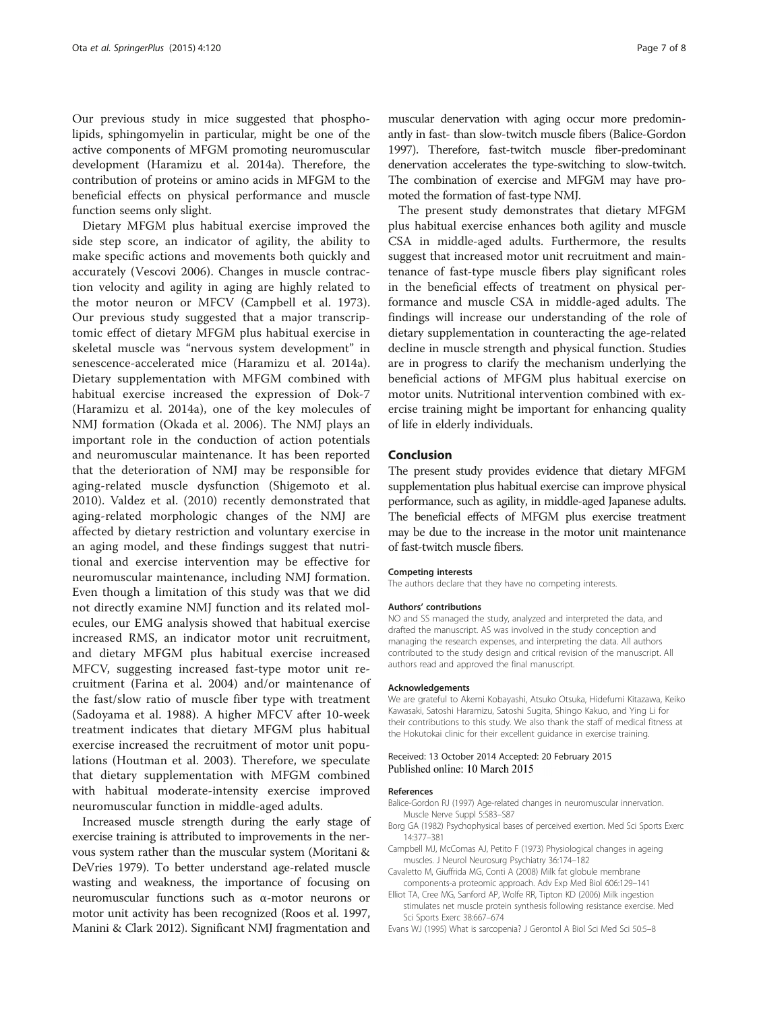<span id="page-6-0"></span>Our previous study in mice suggested that phospholipids, sphingomyelin in particular, might be one of the active components of MFGM promoting neuromuscular development (Haramizu et al. [2014a\)](#page-7-0). Therefore, the contribution of proteins or amino acids in MFGM to the beneficial effects on physical performance and muscle function seems only slight.

Dietary MFGM plus habitual exercise improved the side step score, an indicator of agility, the ability to make specific actions and movements both quickly and accurately (Vescovi [2006](#page-7-0)). Changes in muscle contraction velocity and agility in aging are highly related to the motor neuron or MFCV (Campbell et al. 1973). Our previous study suggested that a major transcriptomic effect of dietary MFGM plus habitual exercise in skeletal muscle was "nervous system development" in senescence-accelerated mice (Haramizu et al. [2014a](#page-7-0)). Dietary supplementation with MFGM combined with habitual exercise increased the expression of Dok-7 (Haramizu et al. [2014a\)](#page-7-0), one of the key molecules of NMJ formation (Okada et al. [2006](#page-7-0)). The NMJ plays an important role in the conduction of action potentials and neuromuscular maintenance. It has been reported that the deterioration of NMJ may be responsible for aging-related muscle dysfunction (Shigemoto et al. [2010\)](#page-7-0). Valdez et al. [\(2010](#page-7-0)) recently demonstrated that aging-related morphologic changes of the NMJ are affected by dietary restriction and voluntary exercise in an aging model, and these findings suggest that nutritional and exercise intervention may be effective for neuromuscular maintenance, including NMJ formation. Even though a limitation of this study was that we did not directly examine NMJ function and its related molecules, our EMG analysis showed that habitual exercise increased RMS, an indicator motor unit recruitment, and dietary MFGM plus habitual exercise increased MFCV, suggesting increased fast-type motor unit recruitment (Farina et al. [2004\)](#page-7-0) and/or maintenance of the fast/slow ratio of muscle fiber type with treatment (Sadoyama et al. [1988\)](#page-7-0). A higher MFCV after 10-week treatment indicates that dietary MFGM plus habitual exercise increased the recruitment of motor unit populations (Houtman et al. [2003](#page-7-0)). Therefore, we speculate that dietary supplementation with MFGM combined with habitual moderate-intensity exercise improved neuromuscular function in middle-aged adults.

Increased muscle strength during the early stage of exercise training is attributed to improvements in the nervous system rather than the muscular system (Moritani & DeVries [1979\)](#page-7-0). To better understand age-related muscle wasting and weakness, the importance of focusing on neuromuscular functions such as α-motor neurons or motor unit activity has been recognized (Roos et al. [1997](#page-7-0), Manini & Clark [2012](#page-7-0)). Significant NMJ fragmentation and

muscular denervation with aging occur more predominantly in fast- than slow-twitch muscle fibers (Balice-Gordon 1997). Therefore, fast-twitch muscle fiber-predominant denervation accelerates the type-switching to slow-twitch. The combination of exercise and MFGM may have promoted the formation of fast-type NMJ.

The present study demonstrates that dietary MFGM plus habitual exercise enhances both agility and muscle CSA in middle-aged adults. Furthermore, the results suggest that increased motor unit recruitment and maintenance of fast-type muscle fibers play significant roles in the beneficial effects of treatment on physical performance and muscle CSA in middle-aged adults. The findings will increase our understanding of the role of dietary supplementation in counteracting the age-related decline in muscle strength and physical function. Studies are in progress to clarify the mechanism underlying the beneficial actions of MFGM plus habitual exercise on motor units. Nutritional intervention combined with exercise training might be important for enhancing quality of life in elderly individuals.

#### Conclusion

The present study provides evidence that dietary MFGM supplementation plus habitual exercise can improve physical performance, such as agility, in middle-aged Japanese adults. The beneficial effects of MFGM plus exercise treatment may be due to the increase in the motor unit maintenance of fast-twitch muscle fibers.

#### Competing interests

The authors declare that they have no competing interests.

#### Authors' contributions

NO and SS managed the study, analyzed and interpreted the data, and drafted the manuscript. AS was involved in the study conception and managing the research expenses, and interpreting the data. All authors contributed to the study design and critical revision of the manuscript. All authors read and approved the final manuscript.

#### Acknowledgements

We are grateful to Akemi Kobayashi, Atsuko Otsuka, Hidefumi Kitazawa, Keiko Kawasaki, Satoshi Haramizu, Satoshi Sugita, Shingo Kakuo, and Ying Li for their contributions to this study. We also thank the staff of medical fitness at the Hokutokai clinic for their excellent guidance in exercise training.

#### Received: 13 October 2014 Accepted: 20 February 2015 Published online: 10 March 2015

#### References

- Balice-Gordon RJ (1997) Age-related changes in neuromuscular innervation. Muscle Nerve Suppl 5:S83–S87
- Borg GA (1982) Psychophysical bases of perceived exertion. Med Sci Sports Exerc 14:377–381
- Campbell MJ, McComas AJ, Petito F (1973) Physiological changes in ageing muscles. J Neurol Neurosurg Psychiatry 36:174–182
- Cavaletto M, Giuffrida MG, Conti A (2008) Milk fat globule membrane components-a proteomic approach. Adv Exp Med Biol 606:129–141
- Elliot TA, Cree MG, Sanford AP, Wolfe RR, Tipton KD (2006) Milk ingestion stimulates net muscle protein synthesis following resistance exercise. Med Sci Sports Exerc 38:667–674
- Evans WJ (1995) What is sarcopenia? J Gerontol A Biol Sci Med Sci 50:5–8